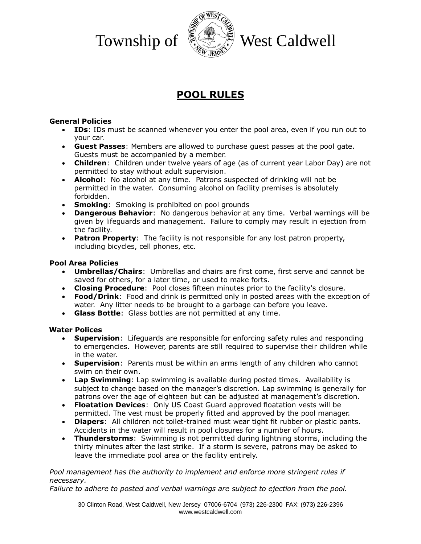

Township of  $\left\langle \bigotimes_{\mathbb{R}} \mathbb{Z}^{\mathbb{R}} \right\rangle$  West Caldwell

# **POOL RULES**

#### **General Policies**

- **IDs**: IDs must be scanned whenever you enter the pool area, even if you run out to your car.
- **Guest Passes**: Members are allowed to purchase guest passes at the pool gate. Guests must be accompanied by a member.
- **Children**: Children under twelve years of age (as of current year Labor Day) are not permitted to stay without adult supervision.
- **Alcohol**: No alcohol at any time. Patrons suspected of drinking will not be permitted in the water. Consuming alcohol on facility premises is absolutely forbidden.
- **Smoking**: Smoking is prohibited on pool grounds
- **Dangerous Behavior**: No dangerous behavior at any time. Verbal warnings will be given by lifeguards and management. Failure to comply may result in ejection from the facility.
- **Patron Property**: The facility is not responsible for any lost patron property, including bicycles, cell phones, etc.

#### **Pool Area Policies**

- **Umbrellas/Chairs**: Umbrellas and chairs are first come, first serve and cannot be saved for others, for a later time, or used to make forts.
- **Closing Procedure**: Pool closes fifteen minutes prior to the facility's closure.
- **Food/Drink**: Food and drink is permitted only in posted areas with the exception of water. Any litter needs to be brought to a garbage can before you leave.
- **Glass Bottle**: Glass bottles are not permitted at any time.

## **Water Polices**

- **Supervision**: Lifeguards are responsible for enforcing safety rules and responding to emergencies. However, parents are still required to supervise their children while in the water.
- **Supervision**: Parents must be within an arms length of any children who cannot swim on their own.
- **Lap Swimming**: Lap swimming is available during posted times. Availability is subject to change based on the manager's discretion. Lap swimming is generally for patrons over the age of eighteen but can be adjusted at management's discretion.
- **Floatation Devices**: Only US Coast Guard approved floatation vests will be permitted. The vest must be properly fitted and approved by the pool manager.
- **Diapers**: All children not toilet-trained must wear tight fit rubber or plastic pants. Accidents in the water will result in pool closures for a number of hours.
- **Thunderstorms**: Swimming is not permitted during lightning storms, including the thirty minutes after the last strike. If a storm is severe, patrons may be asked to leave the immediate pool area or the facility entirely.

#### Pool management has the authority to implement and enforce more stringent rules if *necessary.*

*Failure to adhere to posted and verbal warnings are subject to ejection from the pool.*